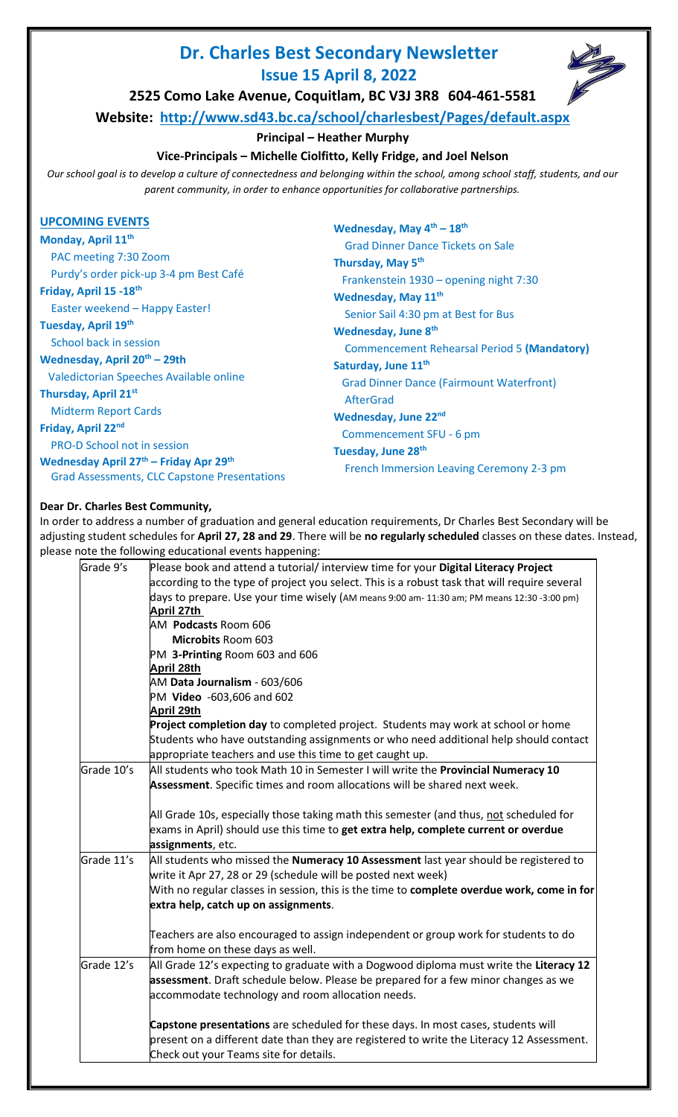## **Dr. Charles Best Secondary Newsletter Issue 15 April 8, 2022**



**2525 Como Lake Avenue, Coquitlam, BC V3J 3R8 604-461-5581**

**Website: <http://www.sd43.bc.ca/school/charlesbest/Pages/default.aspx>**

#### **Principal – Heather Murphy**

### **Vice-Principals – Michelle Ciolfitto, Kelly Fridge, and Joel Nelson**

*Our school goal is to develop a culture of connectedness and belonging within the school, among school staff, students, and our parent community, in order to enhance opportunities for collaborative partnerships.*

| <b>UPCOMING EVENTS</b>                                                                                                | Wednesday, May $4^{\text{th}} - 18^{\text{th}}$    |  |
|-----------------------------------------------------------------------------------------------------------------------|----------------------------------------------------|--|
| Monday, April 11 <sup>th</sup>                                                                                        | <b>Grad Dinner Dance Tickets on Sale</b>           |  |
| PAC meeting 7:30 Zoom                                                                                                 | Thursday, May 5 <sup>th</sup>                      |  |
| Purdy's order pick-up 3-4 pm Best Café                                                                                | Frankenstein 1930 - opening night 7:30             |  |
| Friday, April 15 -18th                                                                                                | Wednesday, May 11 <sup>th</sup>                    |  |
| Easter weekend - Happy Easter!                                                                                        | Senior Sail 4:30 pm at Best for Bus                |  |
| Tuesday, April 19th                                                                                                   | Wednesday, June 8th                                |  |
| School back in session                                                                                                | <b>Commencement Rehearsal Period 5 (Mandatory)</b> |  |
| Wednesday, April 20 <sup>th</sup> - 29th                                                                              | Saturday, June 11 <sup>th</sup>                    |  |
| Valedictorian Speeches Available online                                                                               | <b>Grad Dinner Dance (Fairmount Waterfront)</b>    |  |
| Thursday, April 21st                                                                                                  | AfterGrad                                          |  |
| <b>Midterm Report Cards</b>                                                                                           | Wednesday, June 22nd                               |  |
| Friday, April 22nd                                                                                                    | Commencement SFU - 6 pm                            |  |
| <b>PRO-D School not in session</b>                                                                                    | Tuesday, June 28th                                 |  |
| Wednesday April 27 <sup>th</sup> - Friday Apr 29 <sup>th</sup><br><b>Grad Assessments, CLC Capstone Presentations</b> | French Immersion Leaving Ceremony 2-3 pm           |  |

#### **Dear Dr. Charles Best Community,**

In order to address a number of graduation and general education requirements, Dr Charles Best Secondary will be adjusting student schedules for **April 27, 28 and 29**. There will be **no regularly scheduled** classes on these dates. Instead, please note the following educational events happening:

|            | - 11 L -                                                                                                  |  |  |  |
|------------|-----------------------------------------------------------------------------------------------------------|--|--|--|
| Grade 9's  | Please book and attend a tutorial/ interview time for your Digital Literacy Project                       |  |  |  |
|            | according to the type of project you select. This is a robust task that will require several              |  |  |  |
|            | days to prepare. Use your time wisely (AM means 9:00 am- 11:30 am; PM means 12:30 -3:00 pm)<br>April 27th |  |  |  |
|            |                                                                                                           |  |  |  |
|            | AM Podcasts Room 606                                                                                      |  |  |  |
|            | <b>Microbits Room 603</b>                                                                                 |  |  |  |
|            | PM 3-Printing Room 603 and 606                                                                            |  |  |  |
|            | April 28th                                                                                                |  |  |  |
|            | AM Data Journalism - 603/606                                                                              |  |  |  |
|            | PM Video -603,606 and 602                                                                                 |  |  |  |
|            | April 29th                                                                                                |  |  |  |
|            | Project completion day to completed project. Students may work at school or home                          |  |  |  |
|            | Students who have outstanding assignments or who need additional help should contact                      |  |  |  |
|            | appropriate teachers and use this time to get caught up.                                                  |  |  |  |
| Grade 10's | All students who took Math 10 in Semester I will write the Provincial Numeracy 10                         |  |  |  |
|            | Assessment. Specific times and room allocations will be shared next week.                                 |  |  |  |
|            |                                                                                                           |  |  |  |
|            | All Grade 10s, especially those taking math this semester (and thus, not scheduled for                    |  |  |  |
|            | exams in April) should use this time to get extra help, complete current or overdue                       |  |  |  |
|            | assignments, etc.                                                                                         |  |  |  |
| Grade 11's | All students who missed the Numeracy 10 Assessment last year should be registered to                      |  |  |  |
|            | write it Apr 27, 28 or 29 (schedule will be posted next week)                                             |  |  |  |
|            | With no regular classes in session, this is the time to complete overdue work, come in for                |  |  |  |
|            | extra help, catch up on assignments.                                                                      |  |  |  |
|            |                                                                                                           |  |  |  |
|            | Teachers are also encouraged to assign independent or group work for students to do                       |  |  |  |
|            | from home on these days as well.                                                                          |  |  |  |
| Grade 12's | All Grade 12's expecting to graduate with a Dogwood diploma must write the Literacy 12                    |  |  |  |
|            | assessment. Draft schedule below. Please be prepared for a few minor changes as we                        |  |  |  |
|            | accommodate technology and room allocation needs.                                                         |  |  |  |
|            |                                                                                                           |  |  |  |
|            | Capstone presentations are scheduled for these days. In most cases, students will                         |  |  |  |
|            | present on a different date than they are registered to write the Literacy 12 Assessment.                 |  |  |  |
|            | Check out your Teams site for details.                                                                    |  |  |  |
|            |                                                                                                           |  |  |  |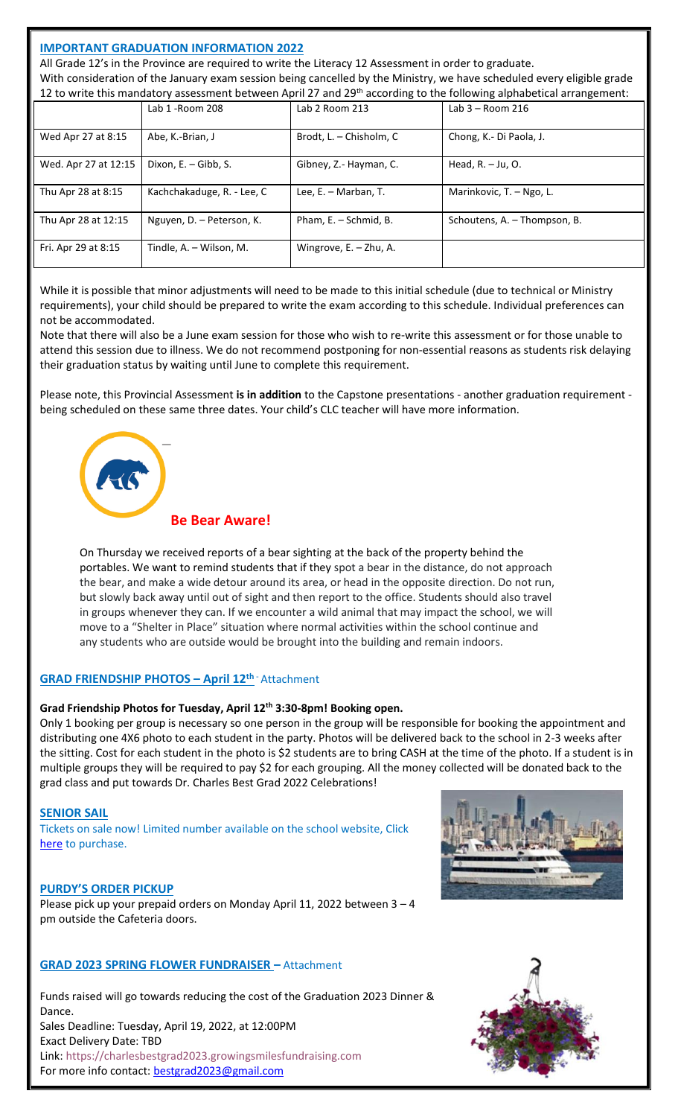#### **IMPORTANT GRADUATION INFORMATION 2022**

All Grade 12's in the Province are required to write the Literacy 12 Assessment in order to graduate. With consideration of the January exam session being cancelled by the Ministry, we have scheduled every eligible grade 12 to write this mandatory assessment between April 27 and  $29<sup>th</sup>$  according to the following alphabetical arrangement:

|                      | Lab 1 - Room 208           | Lab 2 Room 213          | Lab $3 -$ Room 216           |
|----------------------|----------------------------|-------------------------|------------------------------|
| Wed Apr 27 at 8:15   | Abe, K.-Brian, J           | Brodt, L. - Chisholm, C | Chong, K.- Di Paola, J.      |
| Wed. Apr 27 at 12:15 | Dixon, E. - Gibb, S.       | Gibney, Z.- Hayman, C.  | Head, $R. - Ju$ , O.         |
| Thu Apr 28 at 8:15   | Kachchakaduge, R. - Lee, C | Lee, E. - Marban, T.    | Marinkovic, T. - Ngo, L.     |
| Thu Apr 28 at 12:15  | Nguyen, D. - Peterson, K.  | Pham, E. - Schmid, B.   | Schoutens, A. - Thompson, B. |
| Fri. Apr 29 at 8:15  | Tindle, A. - Wilson, M.    | Wingrove, E. - Zhu, A.  |                              |

While it is possible that minor adjustments will need to be made to this initial schedule (due to technical or Ministry requirements), your child should be prepared to write the exam according to this schedule. Individual preferences can not be accommodated.

Note that there will also be a June exam session for those who wish to re-write this assessment or for those unable to attend this session due to illness. We do not recommend postponing for non-essential reasons as students risk delaying their graduation status by waiting until June to complete this requirement.

Please note, this Provincial Assessment **is in addition** to the Capstone presentations - another graduation requirement being scheduled on these same three dates. Your child's CLC teacher will have more information.



**Be Bear Aware!**<br>
On Thursday we received reports of a bee<br>
portables. We want to remind students tt<br>
the bear, and make a wide detour around<br>
but slowly back away until out of sight an<br>
in groups whenever they can. If we On Thursday we received reports of a bear sighting at the back of the property behind the portables. We want to remind students that if they spot a bear in the distance, do not approach the bear, and make a wide detour around its area, or head in the opposite direction. Do not run, but slowly back away until out of sight and then report to the office. Students should also travel in groups whenever they can. If we encounter a wild animal that may impact the school, we will move to a "Shelter in Place" situation where normal activities within the school continue and any students who are outside would be brought into the building and remain indoors.

#### **GRAD FRIENDSHIP PHOTOS – April 12th** - Attachment

#### **Grad Friendship Photos for Tuesday, April 12th 3:30-8pm! Booking open.**

Only 1 booking per group is necessary so one person in the group will be responsible for booking the appointment and distributing one 4X6 photo to each student in the party. Photos will be delivered back to the school in 2-3 weeks after the sitting. Cost for each student in the photo is \$2 students are to bring CASH at the time of the photo. If a student is in multiple groups they will be required to pay \$2 for each grouping. All the money collected will be donated back to the grad class and put towards Dr. Charles Best Grad 2022 Celebrations!

#### **SENIOR SAIL**

Tickets on sale now! Limited number available on the school website, Click [here](https://sd43.schoolcashonline.com/) to purchase.

#### **PURDY'S ORDER PICKUP**

Please pick up your prepaid orders on Monday April 11, 2022 between 3 – 4 pm outside the Cafeteria doors.

#### **GRAD 2023 SPRING FLOWER FUNDRAISER –** Attachment

Funds raised will go towards reducing the cost of the Graduation 2023 Dinner & Dance. Sales Deadline: Tuesday, April 19, 2022, at 12:00PM Exact Delivery Date: TBD Link: https://charlesbestgrad2023.growingsmilesfundraising.com





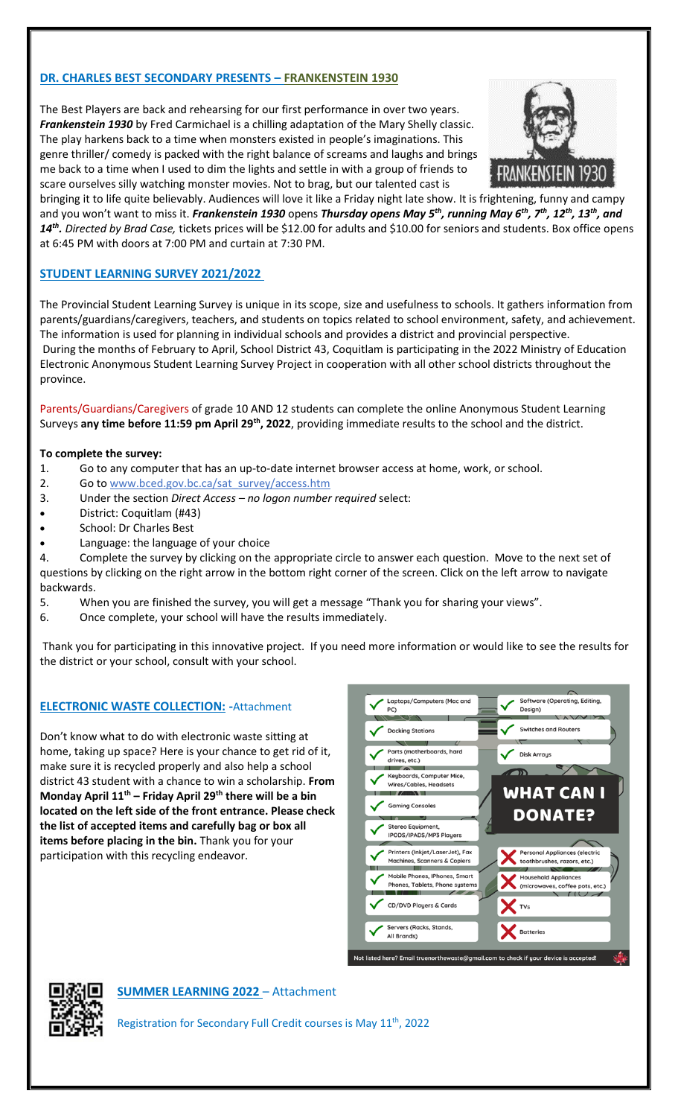#### **DR. CHARLES BEST SECONDARY PRESENTS – FRANKENSTEIN 1930**

The Best Players are back and rehearsing for our first performance in over two years. *Frankenstein 1930* by Fred Carmichael is a chilling adaptation of the Mary Shelly classic. The play harkens back to a time when monsters existed in people's imaginations. This genre thriller/ comedy is packed with the right balance of screams and laughs and brings me back to a time when I used to dim the lights and settle in with a group of friends to scare ourselves silly watching monster movies. Not to brag, but our talented cast is



bringing it to life quite believably. Audiences will love it like a Friday night late show. It is frightening, funny and campy and you won't want to miss it. *Frankenstein 1930* opens *Thursday opens May 5th, running May 6th, 7th, 12th, 13th, and 14th . Directed by Brad Case,* tickets prices will be \$12.00 for adults and \$10.00 for seniors and students. Box office opens at 6:45 PM with doors at 7:00 PM and curtain at 7:30 PM.

#### **STUDENT LEARNING SURVEY 2021/2022**

The Provincial Student Learning Survey is unique in its scope, size and usefulness to schools. It gathers information from parents/guardians/caregivers, teachers, and students on topics related to school environment, safety, and achievement. The information is used for planning in individual schools and provides a district and provincial perspective. During the months of February to April, School District 43, Coquitlam is participating in the 2022 Ministry of Education Electronic Anonymous Student Learning Survey Project in cooperation with all other school districts throughout the province.

Parents/Guardians/Caregivers of grade 10 AND 12 students can complete the online Anonymous Student Learning Surveys **any time before 11:59 pm April 29th, 2022**, providing immediate results to the school and the district.

#### **To complete the survey:**

- 1. Go to any computer that has an up-to-date internet browser access at home, work, or school.
- 2. Go to www.bced.gov.bc.ca/sat\_survey/access.htm
- 3. Under the section *Direct Access – no logon number required* select:
- District: Coquitlam (#43)
- School: Dr Charles Best
- Language: the language of your choice

4. Complete the survey by clicking on the appropriate circle to answer each question. Move to the next set of questions by clicking on the right arrow in the bottom right corner of the screen. Click on the left arrow to navigate backwards.

- 5. When you are finished the survey, you will get a message "Thank you for sharing your views".
- 6. Once complete, your school will have the results immediately.

Thank you for participating in this innovative project. If you need more information or would like to see the results for the district or your school, consult with your school.

#### **ELECTRONIC WASTE COLLECTION: -**Attachment

Don't know what to do with electronic waste sitting at home, taking up space? Here is your chance to get rid of it, make sure it is recycled properly and also help a school district 43 student with a chance to win a scholarship. **From Monday April 11th – Friday April 29th there will be a bin located on the left side of the front entrance. Please check the list of accepted items and carefully bag or box all items before placing in the bin.** Thank you for your participation with this recycling endeavor.





**SUMMER LEARNING 2022** – Attachment

Registration for Secondary Full Credit courses is May 11<sup>th</sup>, 2022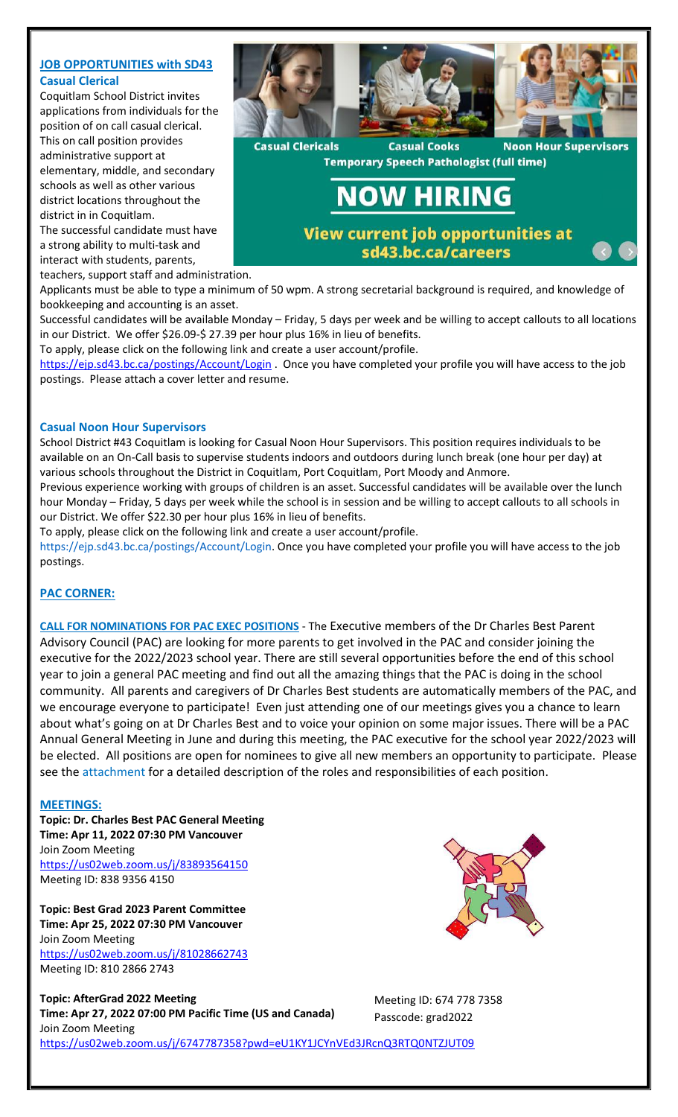#### **JOB OPPORTUNITIES with SD43 Casual Clerical**

Coquitlam School District invites applications from individuals for the position of on call casual clerical. This on call position provides administrative support at elementary, middle, and secondary schools as well as other various district locations throughout the district in in Coquitlam.

The successful candidate must have a strong ability to multi-task and interact with students, parents,

teachers, support staff and administration.



**Temporary Speech Pathologist (full time)** 

# **NOW HIRING**

**View current job opportunities at** sd43.bc.ca/careers

Applicants must be able to type a minimum of 50 wpm. A strong secretarial background is required, and knowledge of bookkeeping and accounting is an asset.

Successful candidates will be available Monday – Friday, 5 days per week and be willing to accept callouts to all locations in our District. We offer \$26.09-\$ 27.39 per hour plus 16% in lieu of benefits.

To apply, please click on the following link and create a user account/profile.

<https://ejp.sd43.bc.ca/postings/Account/Login> . Once you have completed your profile you will have access to the job postings. Please attach a cover letter and resume.

#### **Casual Noon Hour Supervisors**

School District #43 Coquitlam is looking for Casual Noon Hour Supervisors. This position requires individuals to be available on an On-Call basis to supervise students indoors and outdoors during lunch break (one hour per day) at various schools throughout the District in Coquitlam, Port Coquitlam, Port Moody and Anmore.

Previous experience working with groups of children is an asset. Successful candidates will be available over the lunch hour Monday – Friday, 5 days per week while the school is in session and be willing to accept callouts to all schools in our District. We offer \$22.30 per hour plus 16% in lieu of benefits.

To apply, please click on the following link and create a user account/profile.

https://ejp.sd43.bc.ca/postings/Account/Login. Once you have completed your profile you will have access to the job postings.

#### **PAC CORNER:**

**CALL FOR NOMINATIONS FOR PAC EXEC POSITIONS** - The Executive members of the Dr Charles Best Parent Advisory Council (PAC) are looking for more parents to get involved in the PAC and consider joining the executive for the 2022/2023 school year. There are still several opportunities before the end of this school year to join a general PAC meeting and find out all the amazing things that the PAC is doing in the school community. All parents and caregivers of Dr Charles Best students are automatically members of the PAC, and we encourage everyone to participate! Even just attending one of our meetings gives you a chance to learn about what's going on at Dr Charles Best and to voice your opinion on some major issues. There will be a PAC Annual General Meeting in June and during this meeting, the PAC executive for the school year 2022/2023 will be elected. All positions are open for nominees to give all new members an opportunity to participate. Please see the attachment for a detailed description of the roles and responsibilities of each position.

#### **MEETINGS:**

**Topic: Dr. Charles Best PAC General Meeting Time: Apr 11, 2022 07:30 PM Vancouver** Join Zoom Meeting <https://us02web.zoom.us/j/83893564150> Meeting ID: 838 9356 4150

**Topic: Best Grad 2023 Parent Committee Time: Apr 25, 2022 07:30 PM Vancouver** Join Zoom Meeting <https://us02web.zoom.us/j/81028662743> Meeting ID: 810 2866 2743



Meeting ID: 674 778 7358 Passcode: grad2022

**Topic: AfterGrad 2022 Meeting Time: Apr 27, 2022 07:00 PM Pacific Time (US and Canada)** Join Zoom Meeting <https://us02web.zoom.us/j/6747787358?pwd=eU1KY1JCYnVEd3JRcnQ3RTQ0NTZJUT09>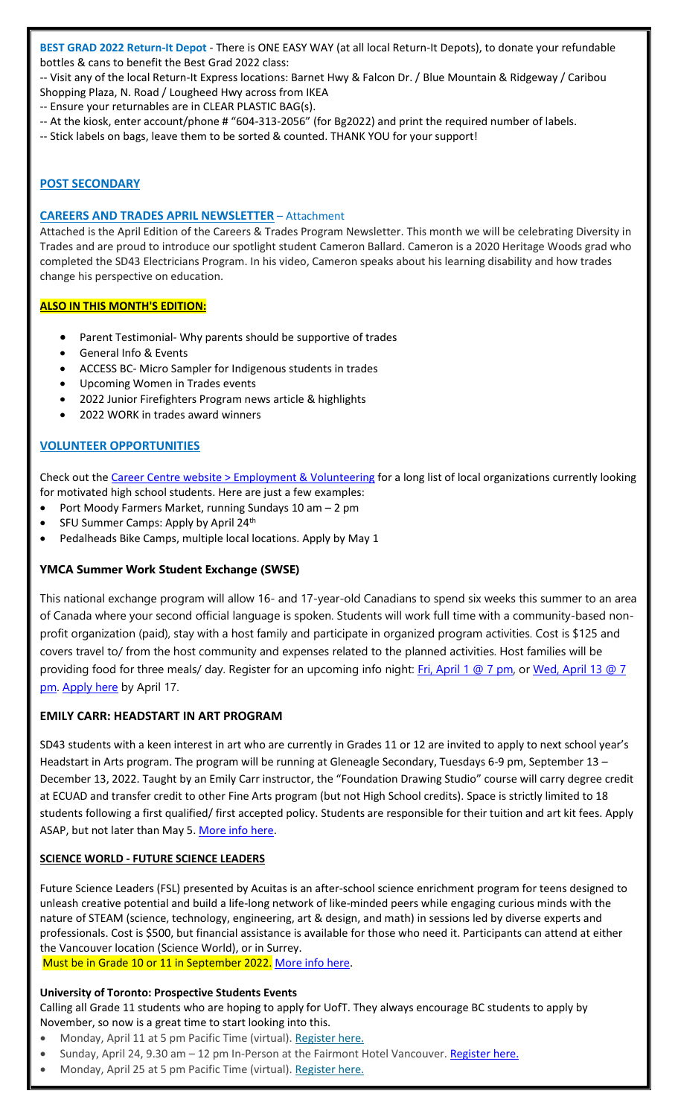**BEST GRAD 2022 Return-It Depot** - There is ONE EASY WAY (at all local Return-It Depots), to donate your refundable bottles & cans to benefit the Best Grad 2022 class:

-- Visit any of the local Return-It Express locations: Barnet Hwy & Falcon Dr. / Blue Mountain & Ridgeway / Caribou Shopping Plaza, N. Road / Lougheed Hwy across from IKEA

-- Ensure your returnables are in CLEAR PLASTIC BAG(s).

- -- At the kiosk, enter account/phone # "604-313-2056" (for Bg2022) and print the required number of labels.
- -- Stick labels on bags, leave them to be sorted & counted. THANK YOU for your support!

#### **POST SECONDARY**

#### **CAREERS AND TRADES APRIL NEWSLETTER** – Attachment

Attached is the April Edition of the Careers & Trades Program Newsletter. This month we will be celebrating Diversity in Trades and are proud to introduce our spotlight student Cameron Ballard. Cameron is a 2020 Heritage Woods grad who completed the SD43 Electricians Program. In his video, Cameron speaks about his learning disability and how trades change his perspective on education.

#### **ALSO IN THIS MONTH'S EDITION:**

- Parent Testimonial- Why parents should be supportive of trades
- General Info & Events
- ACCESS BC- Micro Sampler for Indigenous students in trades
- Upcoming Women in Trades events
- 2022 Junior Firefighters Program news article & highlights
- 2022 WORK in trades award winners

#### **VOLUNTEER OPPORTUNITIES**

Check out th[e Career Centre website > Employment & Volunteering](https://www.sd43.bc.ca/school/charlesbest/ProgramsServices/career/Pages/EmploymentVolunteering.aspx?login=493214402&InitialTabId=Ribbon%2ERead&VisibilityContext=WSSTabPersistence#/=) for a long list of local organizations currently looking for motivated high school students. Here are just a few examples:

- Port Moody Farmers Market, running Sundays 10 am 2 pm
- SFU Summer Camps: Apply by April 24<sup>th</sup>
- Pedalheads Bike Camps, multiple local locations. Apply by May 1

#### **YMCA Summer Work Student Exchange (SWSE)**

This national exchange program will allow 16- and 17-year-old Canadians to spend six weeks this summer to an area of Canada where your second official language is spoken. Students will work full time with a community-based nonprofit organization (paid), stay with a host family and participate in organized program activities. Cost is \$125 and covers travel to/ from the host community and expenses related to the planned activities. Host families will be providing food for three meals/ day. Register for an upcoming info night: [Fri, April 1 @ 7 pm,](https://zoom.us/meeting/register/tJMsdeitrj8jE9VszDwlqkFyJEdDBlITb_Se) or Wed, April 13 @ 7 [pm.](https://zoom.us/meeting/register/tJAsdeyhpzIoE9AjW4825LU4GBDZIKYxL_QD) [Apply here](https://swse.ymcagta.org/) by April 17.

#### **EMILY CARR: HEADSTART IN ART PROGRAM**

SD43 students with a keen interest in art who are currently in Grades 11 or 12 are invited to apply to next school year's Headstart in Arts program. The program will be running at Gleneagle Secondary, Tuesdays 6-9 pm, September 13 – December 13, 2022. Taught by an Emily Carr instructor, the "Foundation Drawing Studio" course will carry degree credit at ECUAD and transfer credit to other Fine Arts program (but not High School credits). Space is strictly limited to 18 students following a first qualified/ first accepted policy. Students are responsible for their tuition and art kit fees. Apply ASAP, but not later than May 5[. More info here.](https://www.sd43.bc.ca/school/charlesbest/ProgramsServices/career/_layouts/15/listform.aspx?PageType=4&ListId=%7B41C9D681%2DFF3F%2D4D5F%2DAD5C%2DC55FEEDEEFEB%7D&ID=584&ContentTypeID=0x010400D72B582DA952864E8938702780493C8C)

#### **SCIENCE WORLD - FUTURE SCIENCE LEADERS**

Future Science Leaders (FSL) presented by Acuitas is an after-school science enrichment program for teens designed to unleash creative potential and build a life-long network of like-minded peers while engaging curious minds with the nature of STEAM (science, technology, engineering, art & design, and math) in sessions led by diverse experts and professionals. Cost is \$500, but financial assistance is available for those who need it. Participants can attend at either the Vancouver location (Science World), or in Surrey.

Must be in Grade 10 or 11 in September 2022. [More info here.](https://www.scienceworld.ca/futurescienceleaders/#-strong-where-and-when-does-em-future-science-leaders-em-happen-strong-)

#### **University of Toronto: Prospective Students Events**

Calling all Grade 11 students who are hoping to apply for UofT. They always encourage BC students to apply by November, so now is a great time to start looking into this.

- Monday, April 11 at 5 pm Pacific Time (virtual). [Register here.](https://apply.adm.utoronto.ca/portal/webcasts?id=a01a6a45-467f-4a7a-942b-a09b9a18c750)
- Sunday, April 24, 9.30 am 12 pm In-Person at the Fairmont Hotel Vancouver. [Register here.](https://mx.technolutions.net/ss/c/VpDhrCrvzjOrNk6AZ3TbHjFLbqWBZPhhofjteQ2YNx82CaUosH1dcVhwZYliQGg4fqoAmVG1Ka_8jV1ZqG7kHkEUUWMfwc8VPjIe6VXHcqaY02ME2QCvDFADSudDQ-wU/3kx/RvkltXeQS-KcXTsaf7PNeQ/h1/qokCettkLEwcVkww2NiO3af-alqvB1eOXLnFAgxLQVQ)
- Monday, April 25 at 5 pm Pacific Time (virtual). [Register here.](https://apply.adm.utoronto.ca/portal/webcasts?id=b08a296d-66ef-4c71-a3e9-6877a0c76ea5)